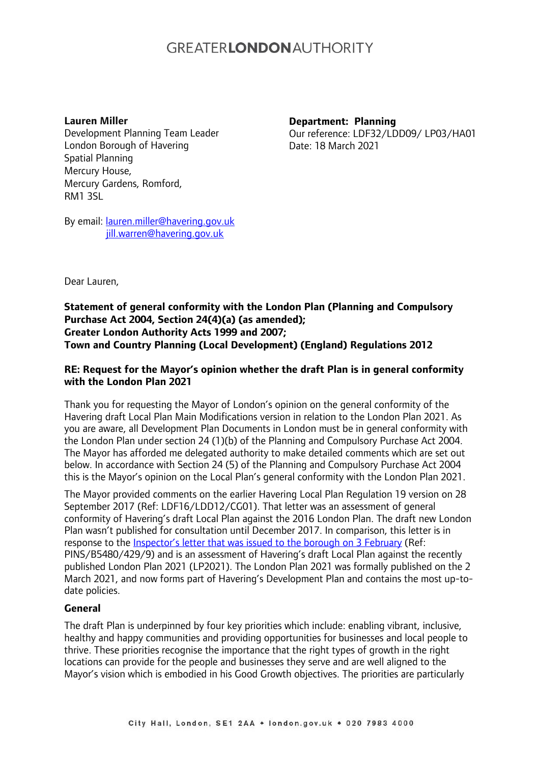# **GREATERLONDONAUTHORITY**

#### **Lauren Miller**

Development Planning Team Leader London Borough of Havering Spatial Planning Mercury House, Mercury Gardens, Romford, RM1 3SL

**Department: Planning** Our reference: LDF32/LDD09/ LP03/HA01 Date: 18 March 2021

By email: [lauren.miller@havering.gov.uk](mailto:lauren.miller@havering.gov.uk) [jill.warren@havering.gov.uk](mailto:jill.warren@havering.gov.uk)

Dear Lauren,

## **Statement of general conformity with the London Plan (Planning and Compulsory Purchase Act 2004, Section 24(4)(a) (as amended); Greater London Authority Acts 1999 and 2007; Town and Country Planning (Local Development) (England) Regulations 2012**

## **RE: Request for the Mayor's opinion whether the draft Plan is in general conformity with the London Plan 2021**

Thank you for requesting the Mayor of London's opinion on the general conformity of the Havering draft Local Plan Main Modifications version in relation to the London Plan 2021. As you are aware, all Development Plan Documents in London must be in general conformity with the London Plan under section 24 (1)(b) of the Planning and Compulsory Purchase Act 2004. The Mayor has afforded me delegated authority to make detailed comments which are set out below. In accordance with Section 24 (5) of the Planning and Compulsory Purchase Act 2004 this is the Mayor's opinion on the Local Plan's general conformity with the London Plan 2021.

The Mayor provided comments on the earlier Havering Local Plan Regulation 19 version on 28 September 2017 (Ref: LDF16/LDD12/CG01). That letter was an assessment of general conformity of Havering's draft Local Plan against the 2016 London Plan. The draft new London Plan wasn't published for consultation until December 2017. In comparison, this letter is in response to the [Inspector's letter that was issued to the borough on 3 February](https://www.havering.gov.uk/download/downloads/id/4494/havering_letter_new_london_plan_from_inspector_feb_2021.pdf) (Ref: PINS/B5480/429/9) and is an assessment of Havering's draft Local Plan against the recently published London Plan 2021 (LP2021). The London Plan 2021 was formally published on the 2 March 2021, and now forms part of Havering's Development Plan and contains the most up-todate policies.

#### **General**

The draft Plan is underpinned by four key priorities which include: enabling vibrant, inclusive, healthy and happy communities and providing opportunities for businesses and local people to thrive. These priorities recognise the importance that the right types of growth in the right locations can provide for the people and businesses they serve and are well aligned to the Mayor's vision which is embodied in his Good Growth objectives. The priorities are particularly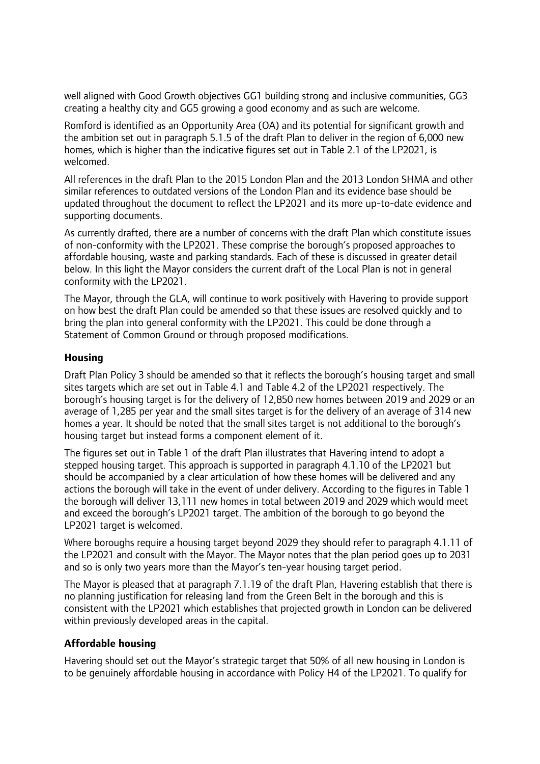well aligned with Good Growth objectives GG1 building strong and inclusive communities, GG3 creating a healthy city and GG5 growing a good economy and as such are welcome.

Romford is identified as an Opportunity Area (OA) and its potential for significant growth and the ambition set out in paragraph 5.1.5 of the draft Plan to deliver in the region of 6,000 new homes, which is higher than the indicative figures set out in Table 2.1 of the LP2021, is welcomed.

All references in the draft Plan to the 2015 London Plan and the 2013 London SHMA and other similar references to outdated versions of the London Plan and its evidence base should be updated throughout the document to reflect the LP2021 and its more up-to-date evidence and supporting documents.

As currently drafted, there are a number of concerns with the draft Plan which constitute issues of non-conformity with the LP2021. These comprise the borough's proposed approaches to affordable housing, waste and parking standards. Each of these is discussed in greater detail below. In this light the Mayor considers the current draft of the Local Plan is not in general conformity with the LP2021.

The Mayor, through the GLA, will continue to work positively with Havering to provide support on how best the draft Plan could be amended so that these issues are resolved quickly and to bring the plan into general conformity with the LP2021. This could be done through a Statement of Common Ground or through proposed modifications.

#### **Housing**

Draft Plan Policy 3 should be amended so that it reflects the borough's housing target and small sites targets which are set out in Table 4.1 and Table 4.2 of the LP2021 respectively. The borough's housing target is for the delivery of 12,850 new homes between 2019 and 2029 or an average of 1,285 per year and the small sites target is for the delivery of an average of 314 new homes a year. It should be noted that the small sites target is not additional to the borough's housing target but instead forms a component element of it.

The figures set out in Table 1 of the draft Plan illustrates that Havering intend to adopt a stepped housing target. This approach is supported in paragraph 4.1.10 of the LP2021 but should be accompanied by a clear articulation of how these homes will be delivered and any actions the borough will take in the event of under delivery. According to the figures in Table 1 the borough will deliver 13,111 new homes in total between 2019 and 2029 which would meet and exceed the borough's LP2021 target. The ambition of the borough to go beyond the LP2021 target is welcomed.

Where boroughs require a housing target beyond 2029 they should refer to paragraph 4.1.11 of the LP2021 and consult with the Mayor. The Mayor notes that the plan period goes up to 2031 and so is only two years more than the Mayor's ten-year housing target period.

The Mayor is pleased that at paragraph 7.1.19 of the draft Plan, Havering establish that there is no planning justification for releasing land from the Green Belt in the borough and this is consistent with the LP2021 which establishes that projected growth in London can be delivered within previously developed areas in the capital.

#### **Affordable housing**

Havering should set out the Mayor's strategic target that 50% of all new housing in London is to be genuinely affordable housing in accordance with Policy H4 of the LP2021. To qualify for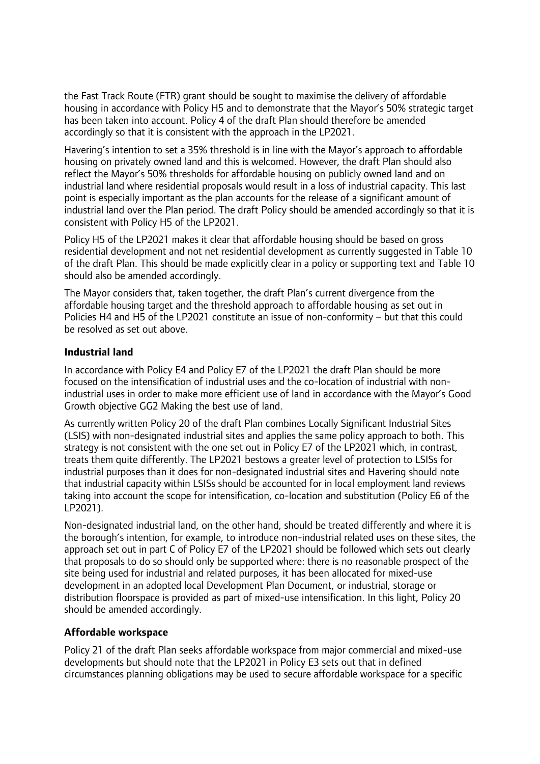the Fast Track Route (FTR) grant should be sought to maximise the delivery of affordable housing in accordance with Policy H5 and to demonstrate that the Mayor's 50% strategic target has been taken into account. Policy 4 of the draft Plan should therefore be amended accordingly so that it is consistent with the approach in the LP2021.

Havering's intention to set a 35% threshold is in line with the Mayor's approach to affordable housing on privately owned land and this is welcomed. However, the draft Plan should also reflect the Mayor's 50% thresholds for affordable housing on publicly owned land and on industrial land where residential proposals would result in a loss of industrial capacity. This last point is especially important as the plan accounts for the release of a significant amount of industrial land over the Plan period. The draft Policy should be amended accordingly so that it is consistent with Policy H5 of the LP2021.

Policy H5 of the LP2021 makes it clear that affordable housing should be based on gross residential development and not net residential development as currently suggested in Table 10 of the draft Plan. This should be made explicitly clear in a policy or supporting text and Table 10 should also be amended accordingly.

The Mayor considers that, taken together, the draft Plan's current divergence from the affordable housing target and the threshold approach to affordable housing as set out in Policies H4 and H5 of the LP2021 constitute an issue of non-conformity – but that this could be resolved as set out above.

## **Industrial land**

In accordance with Policy E4 and Policy E7 of the LP2021 the draft Plan should be more focused on the intensification of industrial uses and the co-location of industrial with nonindustrial uses in order to make more efficient use of land in accordance with the Mayor's Good Growth objective GG2 Making the best use of land.

As currently written Policy 20 of the draft Plan combines Locally Significant Industrial Sites (LSIS) with non-designated industrial sites and applies the same policy approach to both. This strategy is not consistent with the one set out in Policy E7 of the LP2021 which, in contrast, treats them quite differently. The LP2021 bestows a greater level of protection to LSISs for industrial purposes than it does for non-designated industrial sites and Havering should note that industrial capacity within LSISs should be accounted for in local employment land reviews taking into account the scope for intensification, co-location and substitution (Policy E6 of the LP2021).

Non-designated industrial land, on the other hand, should be treated differently and where it is the borough's intention, for example, to introduce non-industrial related uses on these sites, the approach set out in part C of Policy E7 of the LP2021 should be followed which sets out clearly that proposals to do so should only be supported where: there is no reasonable prospect of the site being used for industrial and related purposes, it has been allocated for mixed-use development in an adopted local Development Plan Document, or industrial, storage or distribution floorspace is provided as part of mixed-use intensification. In this light, Policy 20 should be amended accordingly.

## **Affordable workspace**

Policy 21 of the draft Plan seeks affordable workspace from major commercial and mixed-use developments but should note that the LP2021 in Policy E3 sets out that in defined circumstances planning obligations may be used to secure affordable workspace for a specific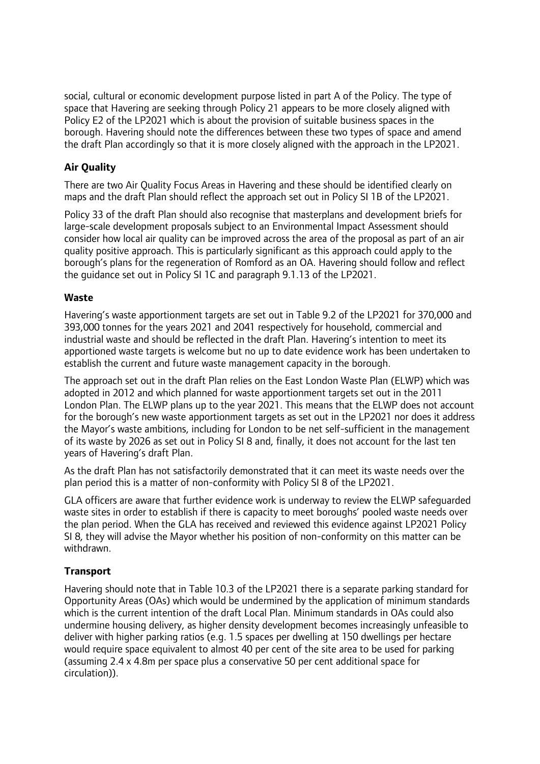social, cultural or economic development purpose listed in part A of the Policy. The type of space that Havering are seeking through Policy 21 appears to be more closely aligned with Policy E2 of the LP2021 which is about the provision of suitable business spaces in the borough. Havering should note the differences between these two types of space and amend the draft Plan accordingly so that it is more closely aligned with the approach in the LP2021.

# **Air Quality**

There are two Air Quality Focus Areas in Havering and these should be identified clearly on maps and the draft Plan should reflect the approach set out in Policy SI 1B of the LP2021.

Policy 33 of the draft Plan should also recognise that masterplans and development briefs for large-scale development proposals subject to an Environmental Impact Assessment should consider how local air quality can be improved across the area of the proposal as part of an air quality positive approach. This is particularly significant as this approach could apply to the borough's plans for the regeneration of Romford as an OA. Havering should follow and reflect the guidance set out in Policy SI 1C and paragraph 9.1.13 of the LP2021.

## **Waste**

Havering's waste apportionment targets are set out in Table 9.2 of the LP2021 for 370,000 and 393,000 tonnes for the years 2021 and 2041 respectively for household, commercial and industrial waste and should be reflected in the draft Plan. Havering's intention to meet its apportioned waste targets is welcome but no up to date evidence work has been undertaken to establish the current and future waste management capacity in the borough.

The approach set out in the draft Plan relies on the East London Waste Plan (ELWP) which was adopted in 2012 and which planned for waste apportionment targets set out in the 2011 London Plan. The ELWP plans up to the year 2021. This means that the ELWP does not account for the borough's new waste apportionment targets as set out in the LP2021 nor does it address the Mayor's waste ambitions, including for London to be net self-sufficient in the management of its waste by 2026 as set out in Policy SI 8 and, finally, it does not account for the last ten years of Havering's draft Plan.

As the draft Plan has not satisfactorily demonstrated that it can meet its waste needs over the plan period this is a matter of non-conformity with Policy SI 8 of the LP2021.

GLA officers are aware that further evidence work is underway to review the ELWP safeguarded waste sites in order to establish if there is capacity to meet boroughs' pooled waste needs over the plan period. When the GLA has received and reviewed this evidence against LP2021 Policy SI 8, they will advise the Mayor whether his position of non-conformity on this matter can be withdrawn.

# **Transport**

Havering should note that in Table 10.3 of the LP2021 there is a separate parking standard for Opportunity Areas (OAs) which would be undermined by the application of minimum standards which is the current intention of the draft Local Plan. Minimum standards in OAs could also undermine housing delivery, as higher density development becomes increasingly unfeasible to deliver with higher parking ratios (e.g. 1.5 spaces per dwelling at 150 dwellings per hectare would require space equivalent to almost 40 per cent of the site area to be used for parking (assuming 2.4 x 4.8m per space plus a conservative 50 per cent additional space for circulation)).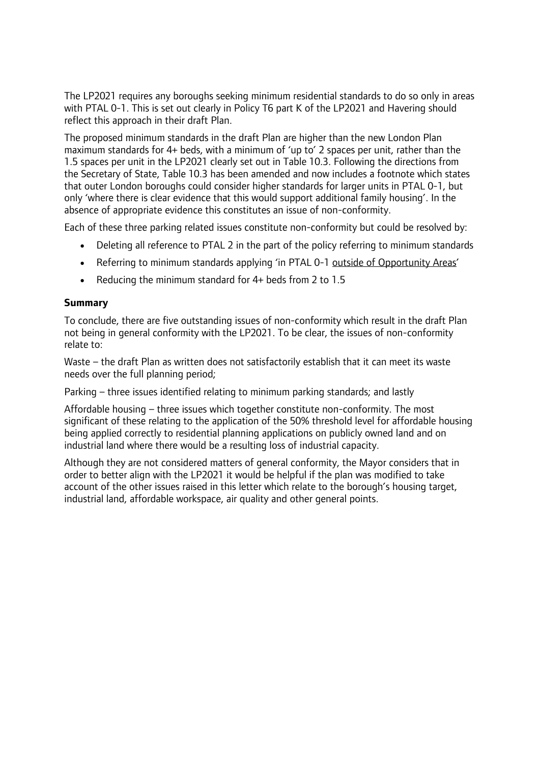The LP2021 requires any boroughs seeking minimum residential standards to do so only in areas with PTAL 0-1. This is set out clearly in Policy T6 part K of the LP2021 and Havering should reflect this approach in their draft Plan.

The proposed minimum standards in the draft Plan are higher than the new London Plan maximum standards for 4+ beds, with a minimum of 'up to' 2 spaces per unit, rather than the 1.5 spaces per unit in the LP2021 clearly set out in Table 10.3. Following the directions from the Secretary of State, Table 10.3 has been amended and now includes a footnote which states that outer London boroughs could consider higher standards for larger units in PTAL 0-1, but only 'where there is clear evidence that this would support additional family housing'. In the absence of appropriate evidence this constitutes an issue of non-conformity.

Each of these three parking related issues constitute non-conformity but could be resolved by:

- Deleting all reference to PTAL 2 in the part of the policy referring to minimum standards
- Referring to minimum standards applying 'in PTAL 0-1 outside of Opportunity Areas'
- Reducing the minimum standard for 4+ beds from 2 to 1.5

### **Summary**

To conclude, there are five outstanding issues of non-conformity which result in the draft Plan not being in general conformity with the LP2021. To be clear, the issues of non-conformity relate to:

Waste – the draft Plan as written does not satisfactorily establish that it can meet its waste needs over the full planning period;

Parking – three issues identified relating to minimum parking standards; and lastly

Affordable housing – three issues which together constitute non-conformity. The most significant of these relating to the application of the 50% threshold level for affordable housing being applied correctly to residential planning applications on publicly owned land and on industrial land where there would be a resulting loss of industrial capacity.

Although they are not considered matters of general conformity, the Mayor considers that in order to better align with the LP2021 it would be helpful if the plan was modified to take account of the other issues raised in this letter which relate to the borough's housing target, industrial land, affordable workspace, air quality and other general points.